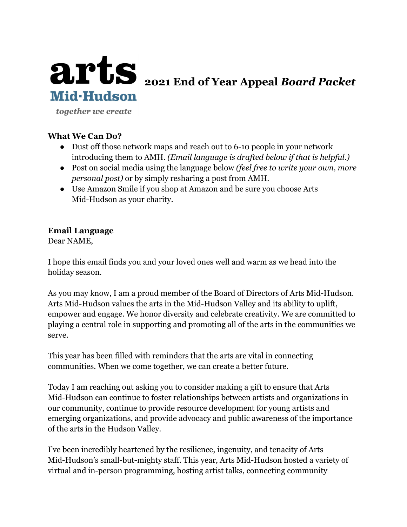

together we create

#### **What We Can Do?**

- Dust off those network maps and reach out to 6-10 people in your network introducing them to AMH. *(Email language is drafted below if that is helpful.)*
- Post on social media using the language below *(feel free to write your own, more personal post)* or by simply resharing a post from AMH.
- Use Amazon Smile if you shop at Amazon and be sure you choose Arts Mid-Hudson as your charity.

### **Email Language**

Dear NAME,

I hope this email finds you and your loved ones well and warm as we head into the holiday season.

As you may know, I am a proud member of the Board of Directors of Arts Mid-Hudson. Arts Mid-Hudson values the arts in the Mid-Hudson Valley and its ability to uplift, empower and engage. We honor diversity and celebrate creativity. We are committed to playing a central role in supporting and promoting all of the arts in the communities we serve.

This year has been filled with reminders that the arts are vital in connecting communities. When we come together, we can create a better future.

Today I am reaching out asking you to consider making a gift to ensure that Arts Mid-Hudson can continue to foster relationships between artists and organizations in our community, continue to provide resource development for young artists and emerging organizations, and provide advocacy and public awareness of the importance of the arts in the Hudson Valley.

I've been incredibly heartened by the resilience, ingenuity, and tenacity of Arts Mid-Hudson's small-but-mighty staff. This year, Arts Mid-Hudson hosted a variety of virtual and in-person programming, hosting artist talks, connecting community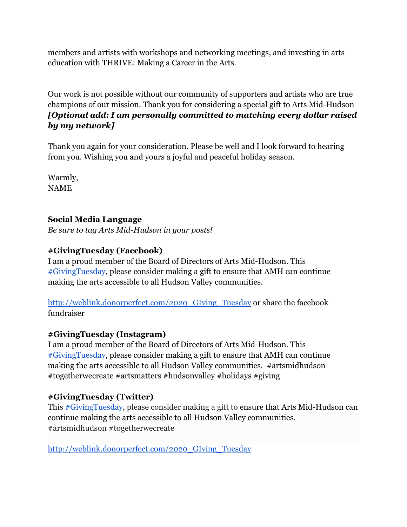members and artists with workshops and networking meetings, and investing in arts education with THRIVE: Making a Career in the Arts.

Our work is not possible without our community of supporters and artists who are true champions of our mission. Thank you for considering a special gift to Arts Mid-Hudson *[Optional add: I am personally committed to matching every dollar raised by my network]*

Thank you again for your consideration. Please be well and I look forward to hearing from you. Wishing you and yours a joyful and peaceful holiday season.

Warmly, NAME

## **Social Media Language**

*Be sure to tag Arts Mid-Hudson in your posts!*

## **#GivingTuesday (Facebook)**

I am a proud member of the Board of Directors of Arts Mid-Hudson. This [#GivingTuesday,](https://www.facebook.com/hashtag/givingtuesday?__eep__=6&__cft__[0]=AZU8GgofhcOmf1yWxD5pdSz1jQjgprypZlvftcbmH0oxwjk4P6eeLTZaa2qIdIMLYUXgRCnxZebjYjKVZzDJcWJN4N0_sp96UYqSYdXHd1HvOjhRYe2D5QwT4kZVCPIS6KROwLH-eyPUb92-EKdgYHa2COaiQV5vuErwQIq8W2NmXg&__tn__=*NK-R) please consider making a gift to ensure that AMH can continue making the arts accessible to all Hudson Valley communities.

[http://weblink.donorperfect.com/2020\\_GIving\\_Tuesday](http://weblink.donorperfect.com/2020_GIving_Tuesday) or share the facebook fundraiser

### **#GivingTuesday (Instagram)**

I am a proud member of the Board of Directors of Arts Mid-Hudson. This [#GivingTuesday,](https://www.facebook.com/hashtag/givingtuesday?__eep__=6&__cft__[0]=AZU8GgofhcOmf1yWxD5pdSz1jQjgprypZlvftcbmH0oxwjk4P6eeLTZaa2qIdIMLYUXgRCnxZebjYjKVZzDJcWJN4N0_sp96UYqSYdXHd1HvOjhRYe2D5QwT4kZVCPIS6KROwLH-eyPUb92-EKdgYHa2COaiQV5vuErwQIq8W2NmXg&__tn__=*NK-R) please consider making a gift to ensure that AMH can continue making the arts accessible to all Hudson Valley communities. #artsmidhudson #togetherwecreate #artsmatters #hudsonvalley #holidays #giving

# **#GivingTuesday (Twitter)**

This [#GivingTuesday,](https://www.facebook.com/hashtag/givingtuesday?__eep__=6&__cft__[0]=AZU8GgofhcOmf1yWxD5pdSz1jQjgprypZlvftcbmH0oxwjk4P6eeLTZaa2qIdIMLYUXgRCnxZebjYjKVZzDJcWJN4N0_sp96UYqSYdXHd1HvOjhRYe2D5QwT4kZVCPIS6KROwLH-eyPUb92-EKdgYHa2COaiQV5vuErwQIq8W2NmXg&__tn__=*NK-R) please consider making a gift to ensure that Arts Mid-Hudson can continue making the arts accessible to all Hudson Valley communities. #artsmidhudson #togetherwecreate

[http://weblink.donorperfect.com/2020\\_GIving\\_Tuesday](http://weblink.donorperfect.com/2020_GIving_Tuesday)